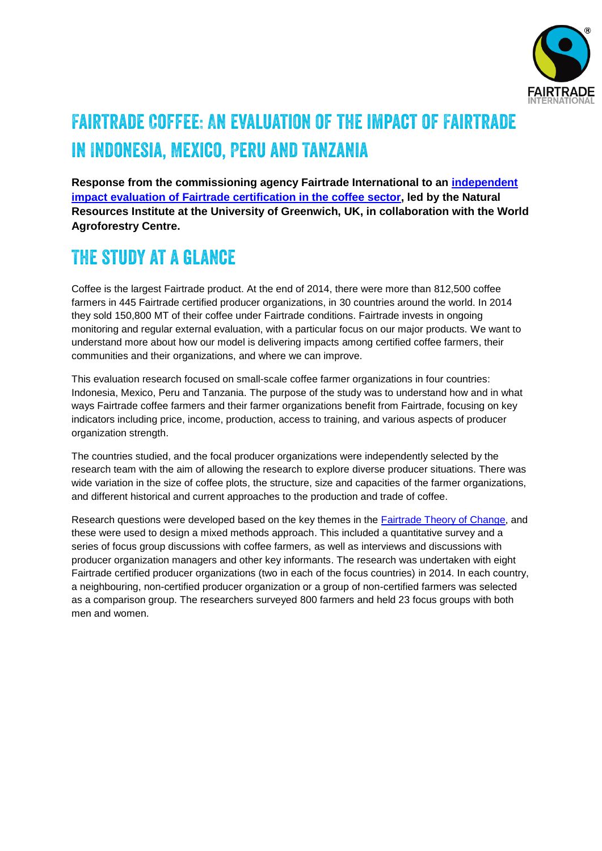

# Fairtrade Coffee: An evaluation of the impact of Fairtrade in Indonesia, Mexico, Peru and Tanzania

**Response from the commissioning agency Fairtrade International to an [independent](http://www.fairtrade.net/fileadmin/user_upload/content/2009/resources/1611_NRI_Coffee_Evaluation-final_report.pdf)  [impact evaluation of Fairtrade certification in the coffee sector,](http://www.fairtrade.net/fileadmin/user_upload/content/2009/resources/1611_NRI_Coffee_Evaluation-final_report.pdf) led by the Natural Resources Institute at the University of Greenwich, UK, in collaboration with the World Agroforestry Centre.**

# The study at a glance

Coffee is the largest Fairtrade product. At the end of 2014, there were more than 812,500 coffee farmers in 445 Fairtrade certified producer organizations, in 30 countries around the world. In 2014 they sold 150,800 MT of their coffee under Fairtrade conditions. Fairtrade invests in ongoing monitoring and regular external evaluation, with a particular focus on our major products. We want to understand more about how our model is delivering impacts among certified coffee farmers, their communities and their organizations, and where we can improve.

This evaluation research focused on small-scale coffee farmer organizations in four countries: Indonesia, Mexico, Peru and Tanzania. The purpose of the study was to understand how and in what ways Fairtrade coffee farmers and their farmer organizations benefit from Fairtrade, focusing on key indicators including price, income, production, access to training, and various aspects of producer organization strength.

The countries studied, and the focal producer organizations were independently selected by the research team with the aim of allowing the research to explore diverse producer situations. There was wide variation in the size of coffee plots, the structure, size and capacities of the farmer organizations, and different historical and current approaches to the production and trade of coffee.

Research questions were developed based on the key themes in the [Fairtrade Theory of](http://www.fairtrade.net/resources/our-theory-of-change.html) Change, and these were used to design a mixed methods approach. This included a quantitative survey and a series of focus group discussions with coffee farmers, as well as interviews and discussions with producer organization managers and other key informants. The research was undertaken with eight Fairtrade certified producer organizations (two in each of the focus countries) in 2014. In each country, a neighbouring, non-certified producer organization or a group of non-certified farmers was selected as a comparison group. The researchers surveyed 800 farmers and held 23 focus groups with both men and women.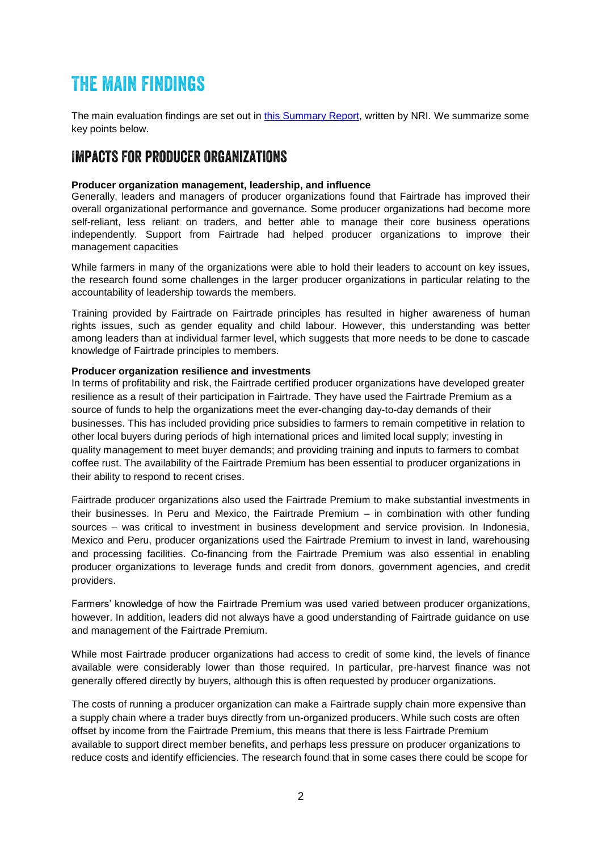## The main findings

The main evaluation findings are set out in [this Summary Report,](http://www.fairtrade.net/fileadmin/user_upload/content/2009/resources/1612_NRI_coffee_evaluation_Summary_report.pdf) written by NRI. We summarize some key points below.

### Impacts for producer organizations

#### **Producer organization management, leadership, and influence**

Generally, leaders and managers of producer organizations found that Fairtrade has improved their overall organizational performance and governance. Some producer organizations had become more self-reliant, less reliant on traders, and better able to manage their core business operations independently. Support from Fairtrade had helped producer organizations to improve their management capacities

While farmers in many of the organizations were able to hold their leaders to account on key issues, the research found some challenges in the larger producer organizations in particular relating to the accountability of leadership towards the members.

Training provided by Fairtrade on Fairtrade principles has resulted in higher awareness of human rights issues, such as gender equality and child labour. However, this understanding was better among leaders than at individual farmer level, which suggests that more needs to be done to cascade knowledge of Fairtrade principles to members.

#### **Producer organization resilience and investments**

In terms of profitability and risk, the Fairtrade certified producer organizations have developed greater resilience as a result of their participation in Fairtrade. They have used the Fairtrade Premium as a source of funds to help the organizations meet the ever-changing day-to-day demands of their businesses. This has included providing price subsidies to farmers to remain competitive in relation to other local buyers during periods of high international prices and limited local supply; investing in quality management to meet buyer demands; and providing training and inputs to farmers to combat coffee rust. The availability of the Fairtrade Premium has been essential to producer organizations in their ability to respond to recent crises.

Fairtrade producer organizations also used the Fairtrade Premium to make substantial investments in their businesses. In Peru and Mexico, the Fairtrade Premium – in combination with other funding sources – was critical to investment in business development and service provision. In Indonesia, Mexico and Peru, producer organizations used the Fairtrade Premium to invest in land, warehousing and processing facilities. Co-financing from the Fairtrade Premium was also essential in enabling producer organizations to leverage funds and credit from donors, government agencies, and credit providers.

Farmers' knowledge of how the Fairtrade Premium was used varied between producer organizations, however. In addition, leaders did not always have a good understanding of Fairtrade guidance on use and management of the Fairtrade Premium.

While most Fairtrade producer organizations had access to credit of some kind, the levels of finance available were considerably lower than those required. In particular, pre-harvest finance was not generally offered directly by buyers, although this is often requested by producer organizations.

The costs of running a producer organization can make a Fairtrade supply chain more expensive than a supply chain where a trader buys directly from un-organized producers. While such costs are often offset by income from the Fairtrade Premium, this means that there is less Fairtrade Premium available to support direct member benefits, and perhaps less pressure on producer organizations to reduce costs and identify efficiencies. The research found that in some cases there could be scope for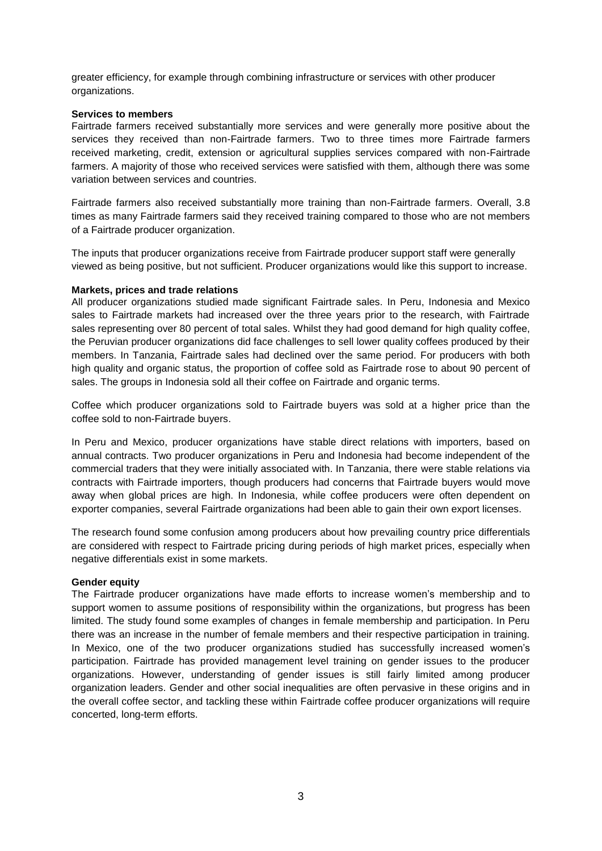greater efficiency, for example through combining infrastructure or services with other producer organizations.

#### **Services to members**

Fairtrade farmers received substantially more services and were generally more positive about the services they received than non-Fairtrade farmers. Two to three times more Fairtrade farmers received marketing, credit, extension or agricultural supplies services compared with non-Fairtrade farmers. A majority of those who received services were satisfied with them, although there was some variation between services and countries.

Fairtrade farmers also received substantially more training than non-Fairtrade farmers. Overall, 3.8 times as many Fairtrade farmers said they received training compared to those who are not members of a Fairtrade producer organization.

The inputs that producer organizations receive from Fairtrade producer support staff were generally viewed as being positive, but not sufficient. Producer organizations would like this support to increase.

#### **Markets, prices and trade relations**

All producer organizations studied made significant Fairtrade sales. In Peru, Indonesia and Mexico sales to Fairtrade markets had increased over the three years prior to the research, with Fairtrade sales representing over 80 percent of total sales. Whilst they had good demand for high quality coffee, the Peruvian producer organizations did face challenges to sell lower quality coffees produced by their members. In Tanzania, Fairtrade sales had declined over the same period. For producers with both high quality and organic status, the proportion of coffee sold as Fairtrade rose to about 90 percent of sales. The groups in Indonesia sold all their coffee on Fairtrade and organic terms.

Coffee which producer organizations sold to Fairtrade buyers was sold at a higher price than the coffee sold to non-Fairtrade buyers.

In Peru and Mexico, producer organizations have stable direct relations with importers, based on annual contracts. Two producer organizations in Peru and Indonesia had become independent of the commercial traders that they were initially associated with. In Tanzania, there were stable relations via contracts with Fairtrade importers, though producers had concerns that Fairtrade buyers would move away when global prices are high. In Indonesia, while coffee producers were often dependent on exporter companies, several Fairtrade organizations had been able to gain their own export licenses.

The research found some confusion among producers about how prevailing country price differentials are considered with respect to Fairtrade pricing during periods of high market prices, especially when negative differentials exist in some markets.

#### **Gender equity**

The Fairtrade producer organizations have made efforts to increase women's membership and to support women to assume positions of responsibility within the organizations, but progress has been limited. The study found some examples of changes in female membership and participation. In Peru there was an increase in the number of female members and their respective participation in training. In Mexico, one of the two producer organizations studied has successfully increased women's participation. Fairtrade has provided management level training on gender issues to the producer organizations. However, understanding of gender issues is still fairly limited among producer organization leaders. Gender and other social inequalities are often pervasive in these origins and in the overall coffee sector, and tackling these within Fairtrade coffee producer organizations will require concerted, long-term efforts.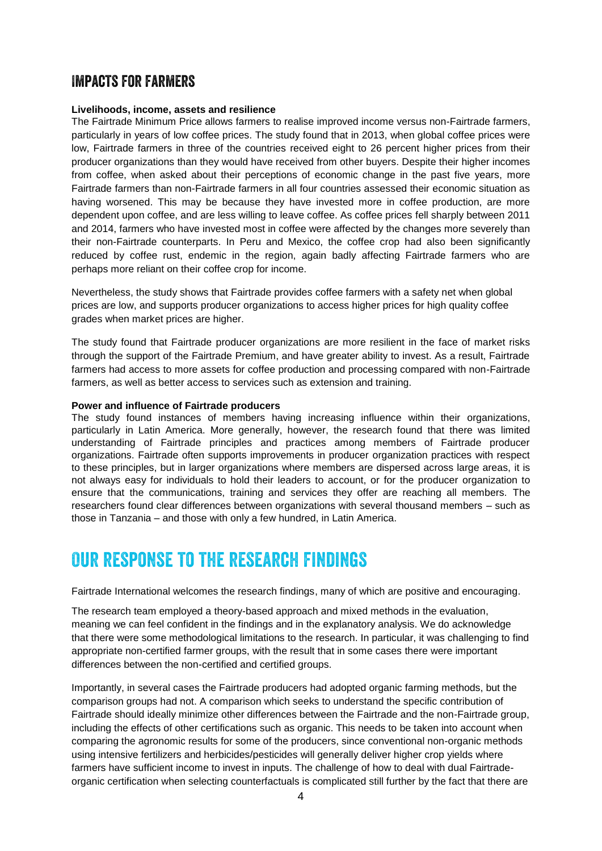### Impacts for farmers

#### **Livelihoods, income, assets and resilience**

The Fairtrade Minimum Price allows farmers to realise improved income versus non-Fairtrade farmers, particularly in years of low coffee prices. The study found that in 2013, when global coffee prices were low, Fairtrade farmers in three of the countries received eight to 26 percent higher prices from their producer organizations than they would have received from other buyers. Despite their higher incomes from coffee, when asked about their perceptions of economic change in the past five years, more Fairtrade farmers than non-Fairtrade farmers in all four countries assessed their economic situation as having worsened. This may be because they have invested more in coffee production, are more dependent upon coffee, and are less willing to leave coffee. As coffee prices fell sharply between 2011 and 2014, farmers who have invested most in coffee were affected by the changes more severely than their non-Fairtrade counterparts. In Peru and Mexico, the coffee crop had also been significantly reduced by coffee rust, endemic in the region, again badly affecting Fairtrade farmers who are perhaps more reliant on their coffee crop for income.

Nevertheless, the study shows that Fairtrade provides coffee farmers with a safety net when global prices are low, and supports producer organizations to access higher prices for high quality coffee grades when market prices are higher.

The study found that Fairtrade producer organizations are more resilient in the face of market risks through the support of the Fairtrade Premium, and have greater ability to invest. As a result, Fairtrade farmers had access to more assets for coffee production and processing compared with non-Fairtrade farmers, as well as better access to services such as extension and training.

#### **Power and influence of Fairtrade producers**

The study found instances of members having increasing influence within their organizations, particularly in Latin America. More generally, however, the research found that there was limited understanding of Fairtrade principles and practices among members of Fairtrade producer organizations. Fairtrade often supports improvements in producer organization practices with respect to these principles, but in larger organizations where members are dispersed across large areas, it is not always easy for individuals to hold their leaders to account, or for the producer organization to ensure that the communications, training and services they offer are reaching all members. The researchers found clear differences between organizations with several thousand members – such as those in Tanzania – and those with only a few hundred, in Latin America.

### Our response to the research findings

Fairtrade International welcomes the research findings, many of which are positive and encouraging.

The research team employed a theory-based approach and mixed methods in the evaluation, meaning we can feel confident in the findings and in the explanatory analysis. We do acknowledge that there were some methodological limitations to the research. In particular, it was challenging to find appropriate non-certified farmer groups, with the result that in some cases there were important differences between the non-certified and certified groups.

Importantly, in several cases the Fairtrade producers had adopted organic farming methods, but the comparison groups had not. A comparison which seeks to understand the specific contribution of Fairtrade should ideally minimize other differences between the Fairtrade and the non-Fairtrade group, including the effects of other certifications such as organic. This needs to be taken into account when comparing the agronomic results for some of the producers, since conventional non-organic methods using intensive fertilizers and herbicides/pesticides will generally deliver higher crop yields where farmers have sufficient income to invest in inputs. The challenge of how to deal with dual Fairtradeorganic certification when selecting counterfactuals is complicated still further by the fact that there are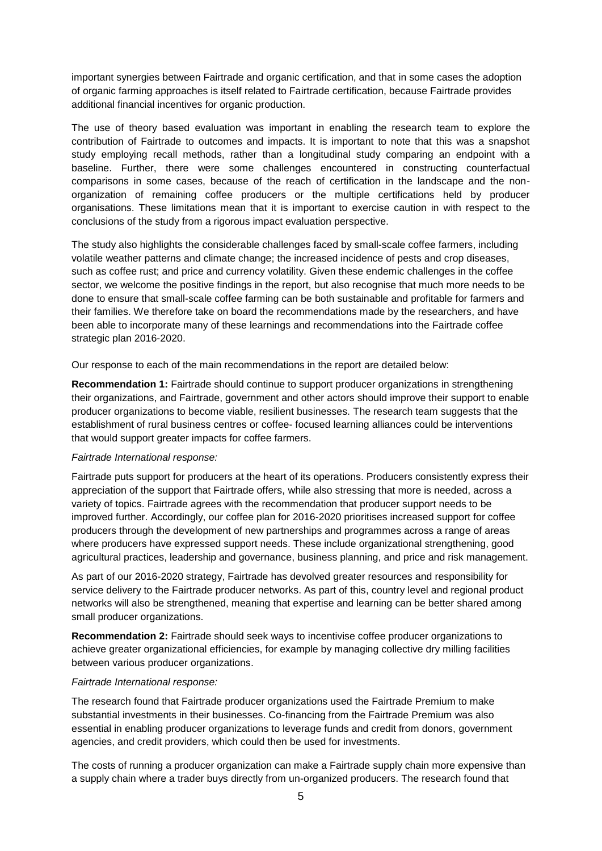important synergies between Fairtrade and organic certification, and that in some cases the adoption of organic farming approaches is itself related to Fairtrade certification, because Fairtrade provides additional financial incentives for organic production.

The use of theory based evaluation was important in enabling the research team to explore the contribution of Fairtrade to outcomes and impacts. It is important to note that this was a snapshot study employing recall methods, rather than a longitudinal study comparing an endpoint with a baseline. Further, there were some challenges encountered in constructing counterfactual comparisons in some cases, because of the reach of certification in the landscape and the nonorganization of remaining coffee producers or the multiple certifications held by producer organisations. These limitations mean that it is important to exercise caution in with respect to the conclusions of the study from a rigorous impact evaluation perspective.

The study also highlights the considerable challenges faced by small-scale coffee farmers, including volatile weather patterns and climate change; the increased incidence of pests and crop diseases, such as coffee rust; and price and currency volatility. Given these endemic challenges in the coffee sector, we welcome the positive findings in the report, but also recognise that much more needs to be done to ensure that small-scale coffee farming can be both sustainable and profitable for farmers and their families. We therefore take on board the recommendations made by the researchers, and have been able to incorporate many of these learnings and recommendations into the Fairtrade coffee strategic plan 2016-2020.

Our response to each of the main recommendations in the report are detailed below:

**Recommendation 1:** Fairtrade should continue to support producer organizations in strengthening their organizations, and Fairtrade, government and other actors should improve their support to enable producer organizations to become viable, resilient businesses. The research team suggests that the establishment of rural business centres or coffee- focused learning alliances could be interventions that would support greater impacts for coffee farmers.

#### *Fairtrade International response:*

Fairtrade puts support for producers at the heart of its operations. Producers consistently express their appreciation of the support that Fairtrade offers, while also stressing that more is needed, across a variety of topics. Fairtrade agrees with the recommendation that producer support needs to be improved further. Accordingly, our coffee plan for 2016-2020 prioritises increased support for coffee producers through the development of new partnerships and programmes across a range of areas where producers have expressed support needs. These include organizational strengthening, good agricultural practices, leadership and governance, business planning, and price and risk management.

As part of our 2016-2020 strategy, Fairtrade has devolved greater resources and responsibility for service delivery to the Fairtrade producer networks. As part of this, country level and regional product networks will also be strengthened, meaning that expertise and learning can be better shared among small producer organizations.

**Recommendation 2:** Fairtrade should seek ways to incentivise coffee producer organizations to achieve greater organizational efficiencies, for example by managing collective dry milling facilities between various producer organizations.

#### *Fairtrade International response:*

The research found that Fairtrade producer organizations used the Fairtrade Premium to make substantial investments in their businesses. Co-financing from the Fairtrade Premium was also essential in enabling producer organizations to leverage funds and credit from donors, government agencies, and credit providers, which could then be used for investments.

The costs of running a producer organization can make a Fairtrade supply chain more expensive than a supply chain where a trader buys directly from un-organized producers. The research found that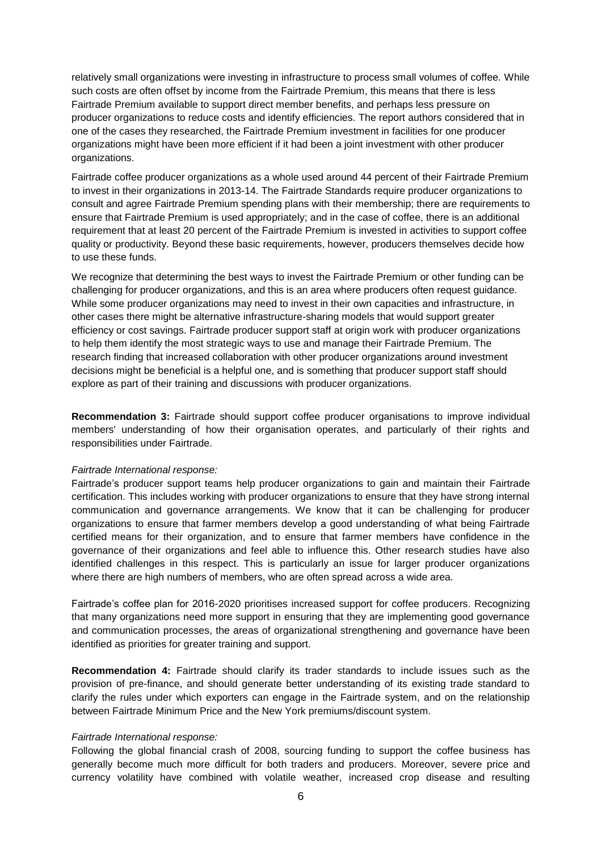relatively small organizations were investing in infrastructure to process small volumes of coffee. While such costs are often offset by income from the Fairtrade Premium, this means that there is less Fairtrade Premium available to support direct member benefits, and perhaps less pressure on producer organizations to reduce costs and identify efficiencies. The report authors considered that in one of the cases they researched, the Fairtrade Premium investment in facilities for one producer organizations might have been more efficient if it had been a joint investment with other producer organizations.

Fairtrade coffee producer organizations as a whole used around 44 percent of their Fairtrade Premium to invest in their organizations in 2013-14. The Fairtrade Standards require producer organizations to consult and agree Fairtrade Premium spending plans with their membership; there are requirements to ensure that Fairtrade Premium is used appropriately; and in the case of coffee, there is an additional requirement that at least 20 percent of the Fairtrade Premium is invested in activities to support coffee quality or productivity. Beyond these basic requirements, however, producers themselves decide how to use these funds.

We recognize that determining the best ways to invest the Fairtrade Premium or other funding can be challenging for producer organizations, and this is an area where producers often request guidance. While some producer organizations may need to invest in their own capacities and infrastructure, in other cases there might be alternative infrastructure-sharing models that would support greater efficiency or cost savings. Fairtrade producer support staff at origin work with producer organizations to help them identify the most strategic ways to use and manage their Fairtrade Premium. The research finding that increased collaboration with other producer organizations around investment decisions might be beneficial is a helpful one, and is something that producer support staff should explore as part of their training and discussions with producer organizations.

**Recommendation 3:** Fairtrade should support coffee producer organisations to improve individual members' understanding of how their organisation operates, and particularly of their rights and responsibilities under Fairtrade.

#### *Fairtrade International response:*

Fairtrade's producer support teams help producer organizations to gain and maintain their Fairtrade certification. This includes working with producer organizations to ensure that they have strong internal communication and governance arrangements. We know that it can be challenging for producer organizations to ensure that farmer members develop a good understanding of what being Fairtrade certified means for their organization, and to ensure that farmer members have confidence in the governance of their organizations and feel able to influence this. Other research studies have also identified challenges in this respect. This is particularly an issue for larger producer organizations where there are high numbers of members, who are often spread across a wide area.

Fairtrade's coffee plan for 2016-2020 prioritises increased support for coffee producers. Recognizing that many organizations need more support in ensuring that they are implementing good governance and communication processes, the areas of organizational strengthening and governance have been identified as priorities for greater training and support.

**Recommendation 4:** Fairtrade should clarify its trader standards to include issues such as the provision of pre-finance, and should generate better understanding of its existing trade standard to clarify the rules under which exporters can engage in the Fairtrade system, and on the relationship between Fairtrade Minimum Price and the New York premiums/discount system.

#### *Fairtrade International response:*

Following the global financial crash of 2008, sourcing funding to support the coffee business has generally become much more difficult for both traders and producers. Moreover, severe price and currency volatility have combined with volatile weather, increased crop disease and resulting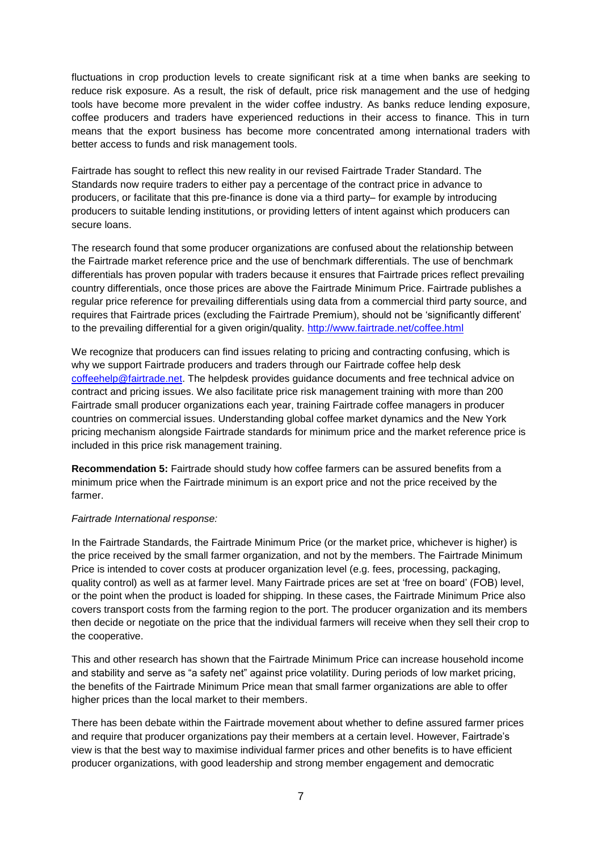fluctuations in crop production levels to create significant risk at a time when banks are seeking to reduce risk exposure. As a result, the risk of default, price risk management and the use of hedging tools have become more prevalent in the wider coffee industry. As banks reduce lending exposure, coffee producers and traders have experienced reductions in their access to finance. This in turn means that the export business has become more concentrated among international traders with better access to funds and risk management tools.

Fairtrade has sought to reflect this new reality in our revised Fairtrade Trader Standard. The Standards now require traders to either pay a percentage of the contract price in advance to producers, or facilitate that this pre-finance is done via a third party– for example by introducing producers to suitable lending institutions, or providing letters of intent against which producers can secure loans.

The research found that some producer organizations are confused about the relationship between the Fairtrade market reference price and the use of benchmark differentials. The use of benchmark differentials has proven popular with traders because it ensures that Fairtrade prices reflect prevailing country differentials, once those prices are above the Fairtrade Minimum Price. Fairtrade publishes a regular price reference for prevailing differentials using data from a commercial third party source, and requires that Fairtrade prices (excluding the Fairtrade Premium), should not be 'significantly different' to the prevailing differential for a given origin/quality. <http://www.fairtrade.net/coffee.html>

We recognize that producers can find issues relating to pricing and contracting confusing, which is why we support Fairtrade producers and traders through our Fairtrade coffee help desk [coffeehelp@fairtrade.net.](mailto:coffeehelp@fairtrade.net) The helpdesk provides guidance documents and free technical advice on contract and pricing issues. We also facilitate price risk management training with more than 200 Fairtrade small producer organizations each year, training Fairtrade coffee managers in producer countries on commercial issues. Understanding global coffee market dynamics and the New York pricing mechanism alongside Fairtrade standards for minimum price and the market reference price is included in this price risk management training.

**Recommendation 5:** Fairtrade should study how coffee farmers can be assured benefits from a minimum price when the Fairtrade minimum is an export price and not the price received by the farmer.

#### *Fairtrade International response:*

In the Fairtrade Standards, the Fairtrade Minimum Price (or the market price, whichever is higher) is the price received by the small farmer organization, and not by the members. The Fairtrade Minimum Price is intended to cover costs at producer organization level (e.g. fees, processing, packaging, quality control) as well as at farmer level. Many Fairtrade prices are set at 'free on board' (FOB) level, or the point when the product is loaded for shipping. In these cases, the Fairtrade Minimum Price also covers transport costs from the farming region to the port. The producer organization and its members then decide or negotiate on the price that the individual farmers will receive when they sell their crop to the cooperative.

This and other research has shown that the Fairtrade Minimum Price can increase household income and stability and serve as "a safety net" against price volatility. During periods of low market pricing, the benefits of the Fairtrade Minimum Price mean that small farmer organizations are able to offer higher prices than the local market to their members.

There has been debate within the Fairtrade movement about whether to define assured farmer prices and require that producer organizations pay their members at a certain level. However, Fairtrade's view is that the best way to maximise individual farmer prices and other benefits is to have efficient producer organizations, with good leadership and strong member engagement and democratic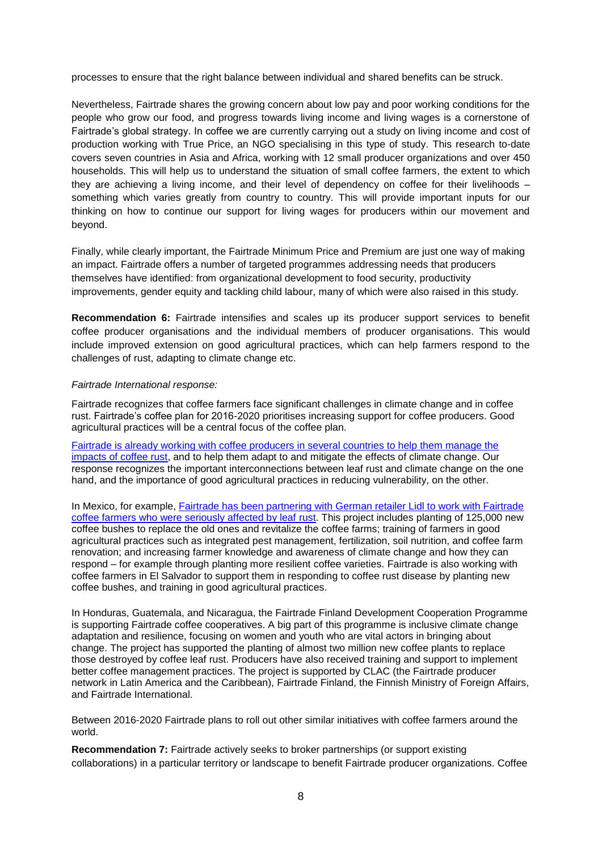processes to ensure that the right balance between individual and shared benefits can be struck.

Nevertheless, Fairtrade shares the growing concern about low pay and poor working conditions for the people who grow our food, and progress towards living income and living wages is a cornerstone of Fairtrade's global strategy. In coffee we are currently carrying out a study on living income and cost of production working with True Price, an NGO specialising in this type of study. This research to-date covers seven countries in Asia and Africa, working with 12 small producer organizations and over 450 households. This will help us to understand the situation of small coffee farmers, the extent to which they are achieving a living income, and their level of dependency on coffee for their livelihoods – something which varies greatly from country to country. This will provide important inputs for our thinking on how to continue our support for living wages for producers within our movement and beyond.

Finally, while clearly important, the Fairtrade Minimum Price and Premium are just one way of making an impact. Fairtrade offers a number of targeted programmes addressing needs that producers themselves have identified: from organizational development to food security, productivity improvements, gender equity and tackling child labour, many of which were also raised in this study.

**Recommendation 6:** Fairtrade intensifies and scales up its producer support services to benefit coffee producer organisations and the individual members of producer organisations. This would include improved extension on good agricultural practices, which can help farmers respond to the challenges of rust, adapting to climate change etc.

#### *Fairtrade International response:*

Fairtrade recognizes that coffee farmers face significant challenges in climate change and in coffee rust. Fairtrade's coffee plan for 2016-2020 prioritises increasing support for coffee producers. Good agricultural practices will be a central focus of the coffee plan.

[Fairtrade is already working with coffee producers in several countries to help them manage the](http://www.fairtrade.net/new/latest-news/single-view/article/fighting-coffee-rust-in-latin-america.html)  [impacts of coffee rust,](http://www.fairtrade.net/new/latest-news/single-view/article/fighting-coffee-rust-in-latin-america.html) and to help them adapt to and mitigate the effects of climate change. Our response recognizes the important interconnections between leaf rust and climate change on the one hand, and the importance of good agricultural practices in reducing vulnerability, on the other.

In Mexico, for example, [Fairtrade has been partnering with German retailer Lidl](http://www.fairtrade.net/new/latest-news/single-view/article/mexican-coffee-farmers-adapt-to-climate-change.html) to work with Fairtrade [coffee farmers who were seriously affected by leaf](http://www.fairtrade.net/new/latest-news/single-view/article/mexican-coffee-farmers-adapt-to-climate-change.html) rust. This project includes planting of 125,000 new coffee bushes to replace the old ones and revitalize the coffee farms; training of farmers in good agricultural practices such as integrated pest management, fertilization, soil nutrition, and coffee farm renovation; and increasing farmer knowledge and awareness of climate change and how they can respond – for example through planting more resilient coffee varieties. Fairtrade is also working with coffee farmers in El Salvador to support them in responding to coffee rust disease by planting new coffee bushes, and training in good agricultural practices.

In Honduras, Guatemala, and Nicaragua, the Fairtrade Finland Development Cooperation Programme is supporting Fairtrade coffee cooperatives. A big part of this programme is inclusive climate change adaptation and resilience, focusing on women and youth who are vital actors in bringing about change. The project has supported the planting of almost two million new coffee plants to replace those destroyed by coffee leaf rust. Producers have also received training and support to implement better coffee management practices. The project is supported by CLAC (the Fairtrade producer network in Latin America and the Caribbean), Fairtrade Finland, the Finnish Ministry of Foreign Affairs, and Fairtrade International.

Between 2016-2020 Fairtrade plans to roll out other similar initiatives with coffee farmers around the world.

**Recommendation 7:** Fairtrade actively seeks to broker partnerships (or support existing collaborations) in a particular territory or landscape to benefit Fairtrade producer organizations. Coffee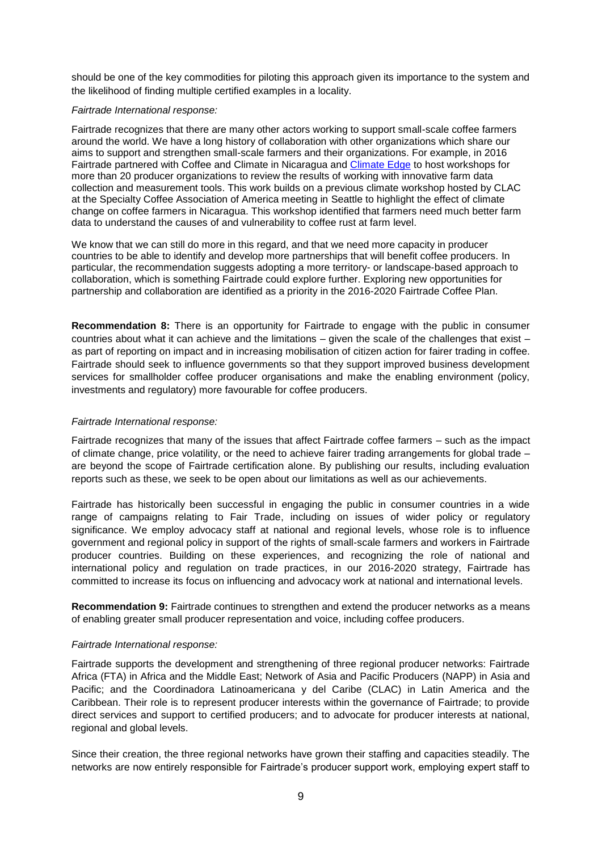should be one of the key commodities for piloting this approach given its importance to the system and the likelihood of finding multiple certified examples in a locality.

#### *Fairtrade International response:*

Fairtrade recognizes that there are many other actors working to support small-scale coffee farmers around the world. We have a long history of collaboration with other organizations which share our aims to support and strengthen small-scale farmers and their organizations. For example, in 2016 Fairtrade partnered with Coffee and Climate in Nicaragua and [Climate Edge](http://climate-edge.co.uk/) to host workshops for more than 20 producer organizations to review the results of working with innovative farm data collection and measurement tools. This work builds on a previous climate workshop hosted by CLAC at the Specialty Coffee Association of America meeting in Seattle to highlight the effect of climate change on coffee farmers in Nicaragua. This workshop identified that farmers need much better farm data to understand the causes of and vulnerability to coffee rust at farm level.

We know that we can still do more in this regard, and that we need more capacity in producer countries to be able to identify and develop more partnerships that will benefit coffee producers. In particular, the recommendation suggests adopting a more territory- or landscape-based approach to collaboration, which is something Fairtrade could explore further. Exploring new opportunities for partnership and collaboration are identified as a priority in the 2016-2020 Fairtrade Coffee Plan.

**Recommendation 8:** There is an opportunity for Fairtrade to engage with the public in consumer countries about what it can achieve and the limitations – given the scale of the challenges that exist – as part of reporting on impact and in increasing mobilisation of citizen action for fairer trading in coffee. Fairtrade should seek to influence governments so that they support improved business development services for smallholder coffee producer organisations and make the enabling environment (policy, investments and regulatory) more favourable for coffee producers.

#### *Fairtrade International response:*

Fairtrade recognizes that many of the issues that affect Fairtrade coffee farmers – such as the impact of climate change, price volatility, or the need to achieve fairer trading arrangements for global trade – are beyond the scope of Fairtrade certification alone. By publishing our results, including evaluation reports such as these, we seek to be open about our limitations as well as our achievements.

Fairtrade has historically been successful in engaging the public in consumer countries in a wide range of campaigns relating to Fair Trade, including on issues of wider policy or regulatory significance. We employ advocacy staff at national and regional levels, whose role is to influence government and regional policy in support of the rights of small-scale farmers and workers in Fairtrade producer countries. Building on these experiences, and recognizing the role of national and international policy and regulation on trade practices, in our 2016-2020 strategy, Fairtrade has committed to increase its focus on influencing and advocacy work at national and international levels.

**Recommendation 9:** Fairtrade continues to strengthen and extend the producer networks as a means of enabling greater small producer representation and voice, including coffee producers.

#### *Fairtrade International response:*

Fairtrade supports the development and strengthening of three regional producer networks: Fairtrade Africa (FTA) in Africa and the Middle East; Network of Asia and Pacific Producers (NAPP) in Asia and Pacific; and the Coordinadora Latinoamericana y del Caribe (CLAC) in Latin America and the Caribbean. Their role is to represent producer interests within the governance of Fairtrade; to provide direct services and support to certified producers; and to advocate for producer interests at national, regional and global levels.

Since their creation, the three regional networks have grown their staffing and capacities steadily. The networks are now entirely responsible for Fairtrade's producer support work, employing expert staff to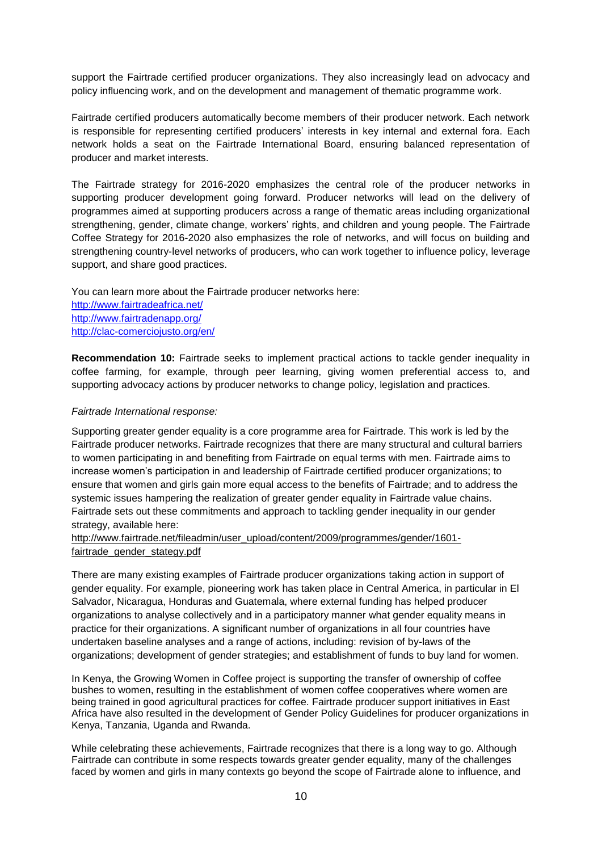support the Fairtrade certified producer organizations. They also increasingly lead on advocacy and policy influencing work, and on the development and management of thematic programme work.

Fairtrade certified producers automatically become members of their producer network. Each network is responsible for representing certified producers' interests in key internal and external fora. Each network holds a seat on the Fairtrade International Board, ensuring balanced representation of producer and market interests.

The Fairtrade strategy for 2016-2020 emphasizes the central role of the producer networks in supporting producer development going forward. Producer networks will lead on the delivery of programmes aimed at supporting producers across a range of thematic areas including organizational strengthening, gender, climate change, workers' rights, and children and young people. The Fairtrade Coffee Strategy for 2016-2020 also emphasizes the role of networks, and will focus on building and strengthening country-level networks of producers, who can work together to influence policy, leverage support, and share good practices.

You can learn more about the Fairtrade producer networks here: <http://www.fairtradeafrica.net/> <http://www.fairtradenapp.org/> <http://clac-comerciojusto.org/en/>

**Recommendation 10:** Fairtrade seeks to implement practical actions to tackle gender inequality in coffee farming, for example, through peer learning, giving women preferential access to, and supporting advocacy actions by producer networks to change policy, legislation and practices.

#### *Fairtrade International response:*

Supporting greater gender equality is a core programme area for Fairtrade. This work is led by the Fairtrade producer networks. Fairtrade recognizes that there are many structural and cultural barriers to women participating in and benefiting from Fairtrade on equal terms with men. Fairtrade aims to increase women's participation in and leadership of Fairtrade certified producer organizations; to ensure that women and girls gain more equal access to the benefits of Fairtrade; and to address the systemic issues hampering the realization of greater gender equality in Fairtrade value chains. Fairtrade sets out these commitments and approach to tackling gender inequality in our gender strategy, available here:

[http://www.fairtrade.net/fileadmin/user\\_upload/content/2009/programmes/gender/1601](http://www.fairtrade.net/fileadmin/user_upload/content/2009/programmes/gender/1601-fairtrade_gender_stategy.pdf) [fairtrade\\_gender\\_stategy.pdf](http://www.fairtrade.net/fileadmin/user_upload/content/2009/programmes/gender/1601-fairtrade_gender_stategy.pdf)

There are many existing examples of Fairtrade producer organizations taking action in support of gender equality. For example, pioneering work has taken place in Central America, in particular in El Salvador, Nicaragua, Honduras and Guatemala, where external funding has helped producer organizations to analyse collectively and in a participatory manner what gender equality means in practice for their organizations. A significant number of organizations in all four countries have undertaken baseline analyses and a range of actions, including: revision of by-laws of the organizations; development of gender strategies; and establishment of funds to buy land for women.

In Kenya, the Growing Women in Coffee project is supporting the transfer of ownership of coffee bushes to women, resulting in the establishment of women coffee cooperatives where women are being trained in good agricultural practices for coffee. Fairtrade producer support initiatives in East Africa have also resulted in the development of Gender Policy Guidelines for producer organizations in Kenya, Tanzania, Uganda and Rwanda.

While celebrating these achievements, Fairtrade recognizes that there is a long way to go. Although Fairtrade can contribute in some respects towards greater gender equality, many of the challenges faced by women and girls in many contexts go beyond the scope of Fairtrade alone to influence, and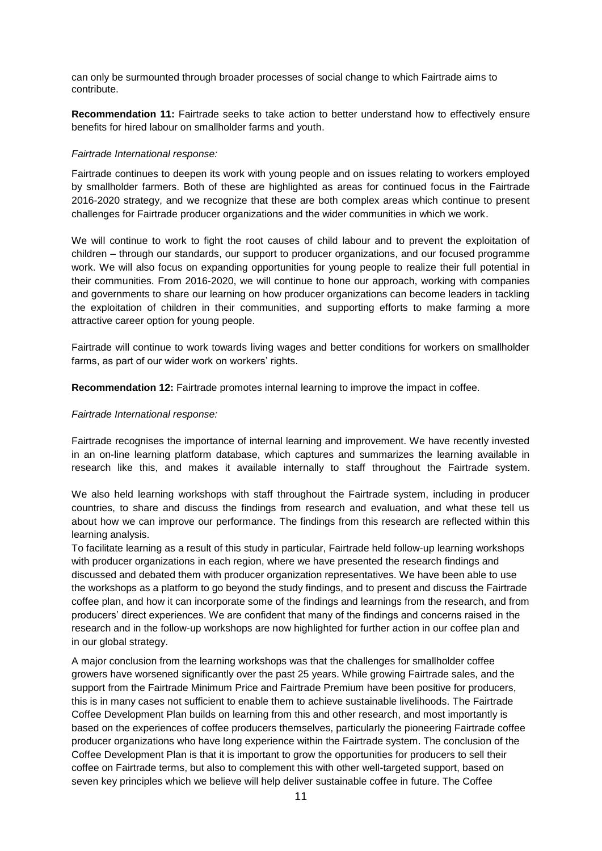can only be surmounted through broader processes of social change to which Fairtrade aims to contribute.

**Recommendation 11:** Fairtrade seeks to take action to better understand how to effectively ensure benefits for hired labour on smallholder farms and youth.

#### *Fairtrade International response:*

Fairtrade continues to deepen its work with young people and on issues relating to workers employed by smallholder farmers. Both of these are highlighted as areas for continued focus in the Fairtrade 2016-2020 strategy, and we recognize that these are both complex areas which continue to present challenges for Fairtrade producer organizations and the wider communities in which we work.

We will continue to work to fight the root causes of child labour and to prevent the exploitation of children – through our standards, our support to producer organizations, and our focused programme work. We will also focus on expanding opportunities for young people to realize their full potential in their communities. From 2016-2020, we will continue to hone our approach, working with companies and governments to share our learning on how producer organizations can become leaders in tackling the exploitation of children in their communities, and supporting efforts to make farming a more attractive career option for young people.

Fairtrade will continue to work towards living wages and better conditions for workers on smallholder farms, as part of our wider work on workers' rights.

**Recommendation 12:** Fairtrade promotes internal learning to improve the impact in coffee.

#### *Fairtrade International response:*

Fairtrade recognises the importance of internal learning and improvement. We have recently invested in an on-line learning platform database, which captures and summarizes the learning available in research like this, and makes it available internally to staff throughout the Fairtrade system.

We also held learning workshops with staff throughout the Fairtrade system, including in producer countries, to share and discuss the findings from research and evaluation, and what these tell us about how we can improve our performance. The findings from this research are reflected within this learning analysis.

To facilitate learning as a result of this study in particular, Fairtrade held follow-up learning workshops with producer organizations in each region, where we have presented the research findings and discussed and debated them with producer organization representatives. We have been able to use the workshops as a platform to go beyond the study findings, and to present and discuss the Fairtrade coffee plan, and how it can incorporate some of the findings and learnings from the research, and from producers' direct experiences. We are confident that many of the findings and concerns raised in the research and in the follow-up workshops are now highlighted for further action in our coffee plan and in our global strategy.

A major conclusion from the learning workshops was that the challenges for smallholder coffee growers have worsened significantly over the past 25 years. While growing Fairtrade sales, and the support from the Fairtrade Minimum Price and Fairtrade Premium have been positive for producers, this is in many cases not sufficient to enable them to achieve sustainable livelihoods. The Fairtrade Coffee Development Plan builds on learning from this and other research, and most importantly is based on the experiences of coffee producers themselves, particularly the pioneering Fairtrade coffee producer organizations who have long experience within the Fairtrade system. The conclusion of the Coffee Development Plan is that it is important to grow the opportunities for producers to sell their coffee on Fairtrade terms, but also to complement this with other well-targeted support, based on seven key principles which we believe will help deliver sustainable coffee in future. The Coffee